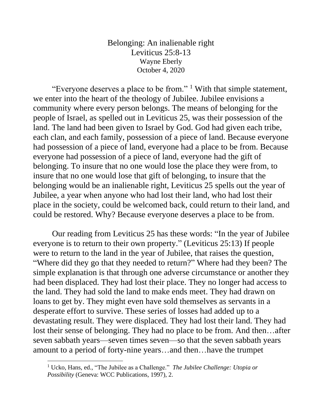Belonging: An inalienable right Leviticus 25:8-13 Wayne Eberly October 4, 2020

"Everyone deserves a place to be from."  $\frac{1}{1}$  With that simple statement, we enter into the heart of the theology of Jubilee. Jubilee envisions a community where every person belongs. The means of belonging for the people of Israel, as spelled out in Leviticus 25, was their possession of the land. The land had been given to Israel by God. God had given each tribe, each clan, and each family, possession of a piece of land. Because everyone had possession of a piece of land, everyone had a place to be from. Because everyone had possession of a piece of land, everyone had the gift of belonging. To insure that no one would lose the place they were from, to insure that no one would lose that gift of belonging, to insure that the belonging would be an inalienable right, Leviticus 25 spells out the year of Jubilee, a year when anyone who had lost their land, who had lost their place in the society, could be welcomed back, could return to their land, and could be restored. Why? Because everyone deserves a place to be from.

Our reading from Leviticus 25 has these words: "In the year of Jubilee everyone is to return to their own property." (Leviticus 25:13) If people were to return to the land in the year of Jubilee, that raises the question, "Where did they go that they needed to return?" Where had they been? The simple explanation is that through one adverse circumstance or another they had been displaced. They had lost their place. They no longer had access to the land. They had sold the land to make ends meet. They had drawn on loans to get by. They might even have sold themselves as servants in a desperate effort to survive. These series of losses had added up to a devastating result. They were displaced. They had lost their land. They had lost their sense of belonging. They had no place to be from. And then…after seven sabbath years—seven times seven—so that the seven sabbath years amount to a period of forty-nine years…and then…have the trumpet

<sup>1</sup> Ucko, Hans, ed., "The Jubilee as a Challenge." *The Jubilee Challenge: Utopia or Possibility* (Geneva: WCC Publications, 1997), 2.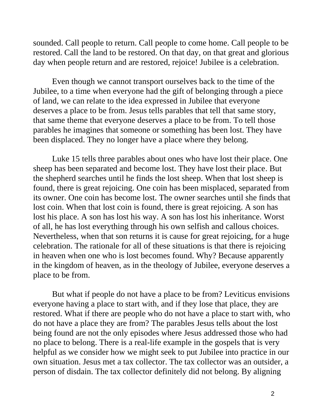sounded. Call people to return. Call people to come home. Call people to be restored. Call the land to be restored. On that day, on that great and glorious day when people return and are restored, rejoice! Jubilee is a celebration.

Even though we cannot transport ourselves back to the time of the Jubilee, to a time when everyone had the gift of belonging through a piece of land, we can relate to the idea expressed in Jubilee that everyone deserves a place to be from. Jesus tells parables that tell that same story, that same theme that everyone deserves a place to be from. To tell those parables he imagines that someone or something has been lost. They have been displaced. They no longer have a place where they belong.

Luke 15 tells three parables about ones who have lost their place. One sheep has been separated and become lost. They have lost their place. But the shepherd searches until he finds the lost sheep. When that lost sheep is found, there is great rejoicing. One coin has been misplaced, separated from its owner. One coin has become lost. The owner searches until she finds that lost coin. When that lost coin is found, there is great rejoicing. A son has lost his place. A son has lost his way. A son has lost his inheritance. Worst of all, he has lost everything through his own selfish and callous choices. Nevertheless, when that son returns it is cause for great rejoicing, for a huge celebration. The rationale for all of these situations is that there is rejoicing in heaven when one who is lost becomes found. Why? Because apparently in the kingdom of heaven, as in the theology of Jubilee, everyone deserves a place to be from.

But what if people do not have a place to be from? Leviticus envisions everyone having a place to start with, and if they lose that place, they are restored. What if there are people who do not have a place to start with, who do not have a place they are from? The parables Jesus tells about the lost being found are not the only episodes where Jesus addressed those who had no place to belong. There is a real-life example in the gospels that is very helpful as we consider how we might seek to put Jubilee into practice in our own situation. Jesus met a tax collector. The tax collector was an outsider, a person of disdain. The tax collector definitely did not belong. By aligning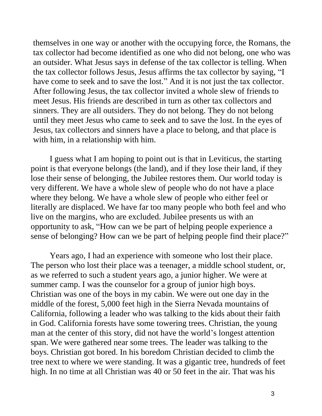themselves in one way or another with the occupying force, the Romans, the tax collector had become identified as one who did not belong, one who was an outsider. What Jesus says in defense of the tax collector is telling. When the tax collector follows Jesus, Jesus affirms the tax collector by saying, "I have come to seek and to save the lost." And it is not just the tax collector. After following Jesus, the tax collector invited a whole slew of friends to meet Jesus. His friends are described in turn as other tax collectors and sinners. They are all outsiders. They do not belong. They do not belong until they meet Jesus who came to seek and to save the lost. In the eyes of Jesus, tax collectors and sinners have a place to belong, and that place is with him, in a relationship with him.

I guess what I am hoping to point out is that in Leviticus, the starting point is that everyone belongs (the land), and if they lose their land, if they lose their sense of belonging, the Jubilee restores them. Our world today is very different. We have a whole slew of people who do not have a place where they belong. We have a whole slew of people who either feel or literally are displaced. We have far too many people who both feel and who live on the margins, who are excluded. Jubilee presents us with an opportunity to ask, "How can we be part of helping people experience a sense of belonging? How can we be part of helping people find their place?"

Years ago, I had an experience with someone who lost their place. The person who lost their place was a teenager, a middle school student, or, as we referred to such a student years ago, a junior higher. We were at summer camp. I was the counselor for a group of junior high boys. Christian was one of the boys in my cabin. We were out one day in the middle of the forest, 5,000 feet high in the Sierra Nevada mountains of California, following a leader who was talking to the kids about their faith in God. California forests have some towering trees. Christian, the young man at the center of this story, did not have the world's longest attention span. We were gathered near some trees. The leader was talking to the boys. Christian got bored. In his boredom Christian decided to climb the tree next to where we were standing. It was a gigantic tree, hundreds of feet high. In no time at all Christian was 40 or 50 feet in the air. That was his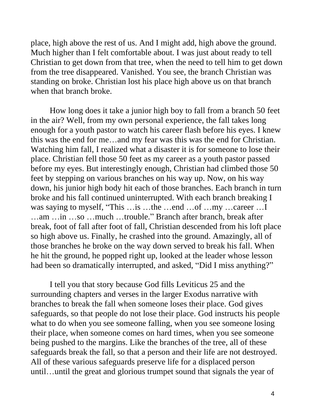place, high above the rest of us. And I might add, high above the ground. Much higher than I felt comfortable about. I was just about ready to tell Christian to get down from that tree, when the need to tell him to get down from the tree disappeared. Vanished. You see, the branch Christian was standing on broke. Christian lost his place high above us on that branch when that branch broke.

How long does it take a junior high boy to fall from a branch 50 feet in the air? Well, from my own personal experience, the fall takes long enough for a youth pastor to watch his career flash before his eyes. I knew this was the end for me…and my fear was this was the end for Christian. Watching him fall, I realized what a disaster it is for someone to lose their place. Christian fell those 50 feet as my career as a youth pastor passed before my eyes. But interestingly enough, Christian had climbed those 50 feet by stepping on various branches on his way up. Now, on his way down, his junior high body hit each of those branches. Each branch in turn broke and his fall continued uninterrupted. With each branch breaking I was saying to myself, "This …is …the …end …of …my …career …I …am …in …so …much …trouble." Branch after branch, break after break, foot of fall after foot of fall, Christian descended from his loft place so high above us. Finally, he crashed into the ground. Amazingly, all of those branches he broke on the way down served to break his fall. When he hit the ground, he popped right up, looked at the leader whose lesson had been so dramatically interrupted, and asked, "Did I miss anything?"

I tell you that story because God fills Leviticus 25 and the surrounding chapters and verses in the larger Exodus narrative with branches to break the fall when someone loses their place. God gives safeguards, so that people do not lose their place. God instructs his people what to do when you see someone falling, when you see someone losing their place, when someone comes on hard times, when you see someone being pushed to the margins. Like the branches of the tree, all of these safeguards break the fall, so that a person and their life are not destroyed. All of these various safeguards preserve life for a displaced person until…until the great and glorious trumpet sound that signals the year of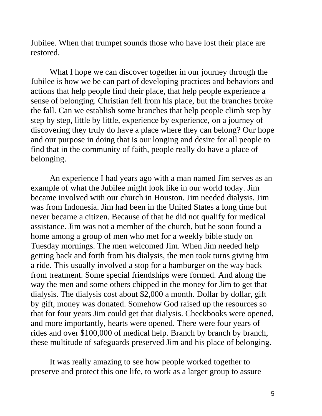Jubilee. When that trumpet sounds those who have lost their place are restored.

What I hope we can discover together in our journey through the Jubilee is how we be can part of developing practices and behaviors and actions that help people find their place, that help people experience a sense of belonging. Christian fell from his place, but the branches broke the fall. Can we establish some branches that help people climb step by step by step, little by little, experience by experience, on a journey of discovering they truly do have a place where they can belong? Our hope and our purpose in doing that is our longing and desire for all people to find that in the community of faith, people really do have a place of belonging.

An experience I had years ago with a man named Jim serves as an example of what the Jubilee might look like in our world today. Jim became involved with our church in Houston. Jim needed dialysis. Jim was from Indonesia. Jim had been in the United States a long time but never became a citizen. Because of that he did not qualify for medical assistance. Jim was not a member of the church, but he soon found a home among a group of men who met for a weekly bible study on Tuesday mornings. The men welcomed Jim. When Jim needed help getting back and forth from his dialysis, the men took turns giving him a ride. This usually involved a stop for a hamburger on the way back from treatment. Some special friendships were formed. And along the way the men and some others chipped in the money for Jim to get that dialysis. The dialysis cost about \$2,000 a month. Dollar by dollar, gift by gift, money was donated. Somehow God raised up the resources so that for four years Jim could get that dialysis. Checkbooks were opened, and more importantly, hearts were opened. There were four years of rides and over \$100,000 of medical help. Branch by branch by branch, these multitude of safeguards preserved Jim and his place of belonging.

It was really amazing to see how people worked together to preserve and protect this one life, to work as a larger group to assure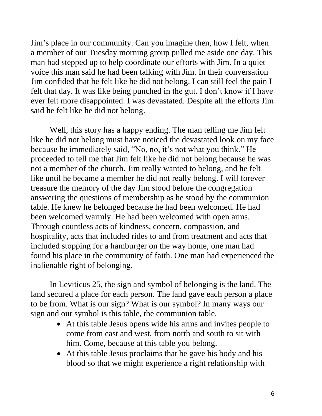Jim's place in our community. Can you imagine then, how I felt, when a member of our Tuesday morning group pulled me aside one day. This man had stepped up to help coordinate our efforts with Jim. In a quiet voice this man said he had been talking with Jim. In their conversation Jim confided that he felt like he did not belong. I can still feel the pain I felt that day. It was like being punched in the gut. I don't know if I have ever felt more disappointed. I was devastated. Despite all the efforts Jim said he felt like he did not belong.

Well, this story has a happy ending. The man telling me Jim felt like he did not belong must have noticed the devastated look on my face because he immediately said, "No, no, it's not what you think." He proceeded to tell me that Jim felt like he did not belong because he was not a member of the church. Jim really wanted to belong, and he felt like until he became a member he did not really belong. I will forever treasure the memory of the day Jim stood before the congregation answering the questions of membership as he stood by the communion table. He knew he belonged because he had been welcomed. He had been welcomed warmly. He had been welcomed with open arms. Through countless acts of kindness, concern, compassion, and hospitality, acts that included rides to and from treatment and acts that included stopping for a hamburger on the way home, one man had found his place in the community of faith. One man had experienced the inalienable right of belonging.

In Leviticus 25, the sign and symbol of belonging is the land. The land secured a place for each person. The land gave each person a place to be from. What is our sign? What is our symbol? In many ways our sign and our symbol is this table, the communion table.

- At this table Jesus opens wide his arms and invites people to come from east and west, from north and south to sit with him. Come, because at this table you belong.
- At this table Jesus proclaims that he gave his body and his blood so that we might experience a right relationship with